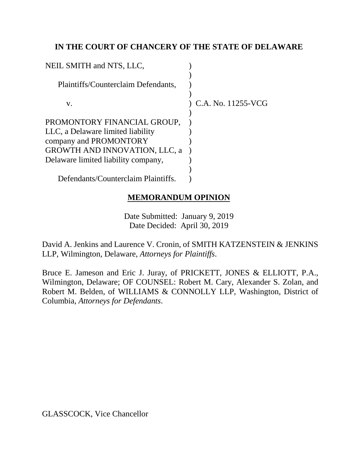## **IN THE COURT OF CHANCERY OF THE STATE OF DELAWARE**

| NEIL SMITH and NTS, LLC,             |                    |
|--------------------------------------|--------------------|
| Plaintiffs/Counterclaim Defendants,  |                    |
| V.                                   | C.A. No. 11255-VCG |
| PROMONTORY FINANCIAL GROUP,          |                    |
| LLC, a Delaware limited liability    |                    |
| company and PROMONTORY               |                    |
| <b>GROWTH AND INNOVATION, LLC, a</b> |                    |
| Delaware limited liability company,  |                    |
|                                      |                    |
| Defendants/Counterclaim Plaintiffs.  |                    |

# **MEMORANDUM OPINION**

Date Submitted: January 9, 2019 Date Decided: April 30, 2019

David A. Jenkins and Laurence V. Cronin, of SMITH KATZENSTEIN & JENKINS LLP, Wilmington, Delaware, *Attorneys for Plaintiffs*.

Bruce E. Jameson and Eric J. Juray, of PRICKETT, JONES & ELLIOTT, P.A., Wilmington, Delaware; OF COUNSEL: Robert M. Cary, Alexander S. Zolan, and Robert M. Belden, of WILLIAMS & CONNOLLY LLP, Washington, District of Columbia, *Attorneys for Defendants*.

GLASSCOCK, Vice Chancellor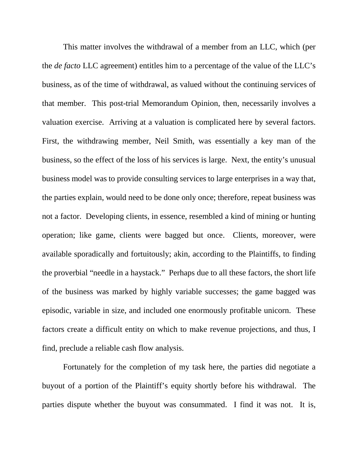This matter involves the withdrawal of a member from an LLC, which (per the *de facto* LLC agreement) entitles him to a percentage of the value of the LLC's business, as of the time of withdrawal, as valued without the continuing services of that member. This post-trial Memorandum Opinion, then, necessarily involves a valuation exercise. Arriving at a valuation is complicated here by several factors. First, the withdrawing member, Neil Smith, was essentially a key man of the business, so the effect of the loss of his services is large. Next, the entity's unusual business model was to provide consulting services to large enterprises in a way that, the parties explain, would need to be done only once; therefore, repeat business was not a factor. Developing clients, in essence, resembled a kind of mining or hunting operation; like game, clients were bagged but once. Clients, moreover, were available sporadically and fortuitously; akin, according to the Plaintiffs, to finding the proverbial "needle in a haystack." Perhaps due to all these factors, the short life of the business was marked by highly variable successes; the game bagged was episodic, variable in size, and included one enormously profitable unicorn. These factors create a difficult entity on which to make revenue projections, and thus, I find, preclude a reliable cash flow analysis.

Fortunately for the completion of my task here, the parties did negotiate a buyout of a portion of the Plaintiff's equity shortly before his withdrawal. The parties dispute whether the buyout was consummated. I find it was not. It is,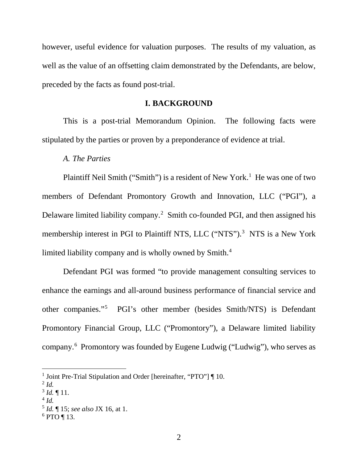however, useful evidence for valuation purposes. The results of my valuation, as well as the value of an offsetting claim demonstrated by the Defendants, are below, preceded by the facts as found post-trial.

### **I. BACKGROUND**

This is a post-trial Memorandum Opinion. The following facts were stipulated by the parties or proven by a preponderance of evidence at trial.

#### *A. The Parties*

Plaintiff Neil Smith ("Smith") is a resident of New York.<sup>1</sup> He was one of two members of Defendant Promontory Growth and Innovation, LLC ("PGI"), a Delaware limited liability company.<sup>2</sup> Smith co-founded PGI, and then assigned his membership interest in PGI to Plaintiff NTS, LLC ("NTS").<sup>3</sup> NTS is a New York limited liability company and is wholly owned by Smith.<sup>4</sup>

Defendant PGI was formed "to provide management consulting services to enhance the earnings and all-around business performance of financial service and other companies."5 PGI's other member (besides Smith/NTS) is Defendant Promontory Financial Group, LLC ("Promontory"), a Delaware limited liability company.6 Promontory was founded by Eugene Ludwig ("Ludwig"), who serves as

<sup>&</sup>lt;sup>1</sup> Joint Pre-Trial Stipulation and Order [hereinafter, "PTO"] ¶ 10.

 $^{2}$  *Id.* 

 $3$  *Id.*  $\P$  11.

 $^{4}$  *Id.* 

<sup>5</sup> *Id.* ¶ 15; *see also* JX 16, at 1.

 $6$  PTO ¶ 13.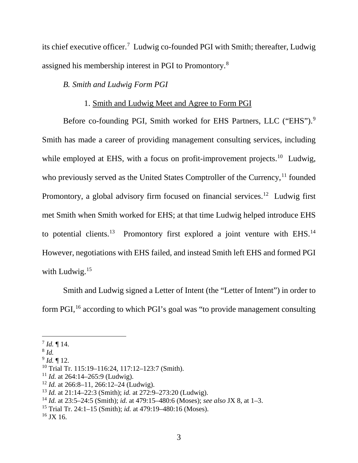its chief executive officer.<sup>7</sup> Ludwig co-founded PGI with Smith; thereafter, Ludwig assigned his membership interest in PGI to Promontory.8

# *B. Smith and Ludwig Form PGI*

### 1. Smith and Ludwig Meet and Agree to Form PGI

Before co-founding PGI, Smith worked for EHS Partners, LLC ("EHS").<sup>9</sup> Smith has made a career of providing management consulting services, including while employed at EHS, with a focus on profit-improvement projects.<sup>10</sup> Ludwig, who previously served as the United States Comptroller of the Currency,  $^{11}$  founded Promontory, a global advisory firm focused on financial services.<sup>12</sup> Ludwig first met Smith when Smith worked for EHS; at that time Ludwig helped introduce EHS to potential clients.<sup>13</sup> Promontory first explored a joint venture with EHS.<sup>14</sup> However, negotiations with EHS failed, and instead Smith left EHS and formed PGI with Ludwig.<sup>15</sup>

Smith and Ludwig signed a Letter of Intent (the "Letter of Intent") in order to form PGI, <sup>16</sup> according to which PGI's goal was "to provide management consulting

 $^{7}$  *Id.*  $\P$  14.

<sup>8</sup> *Id.*

 $^{9}$  *Id.*  $\blacksquare$  12.

<sup>10</sup> Trial Tr. 115:19–116:24, 117:12–123:7 (Smith).

<sup>11</sup> *Id.* at 264:14–265:9 (Ludwig).

<sup>12</sup> *Id.* at 266:8–11, 266:12–24 (Ludwig).

<sup>13</sup> *Id.* at 21:14–22:3 (Smith); *id.* at 272:9–273:20 (Ludwig).

<sup>14</sup> *Id.* at 23:5–24:5 (Smith); *id.* at 479:15–480:6 (Moses); *see also* JX 8, at 1–3.

<sup>15</sup> Trial Tr. 24:1–15 (Smith); *id.* at 479:19–480:16 (Moses).

 $16$  JX 16.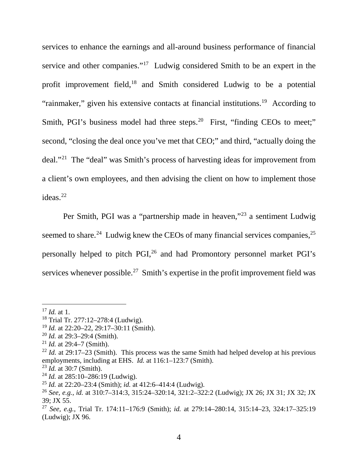services to enhance the earnings and all-around business performance of financial service and other companies."<sup>17</sup> Ludwig considered Smith to be an expert in the profit improvement field,<sup>18</sup> and Smith considered Ludwig to be a potential "rainmaker," given his extensive contacts at financial institutions.<sup>19</sup> According to Smith, PGI's business model had three steps.<sup>20</sup> First, "finding CEOs to meet;" second, "closing the deal once you've met that CEO;" and third, "actually doing the deal."21 The "deal" was Smith's process of harvesting ideas for improvement from a client's own employees, and then advising the client on how to implement those ideas.<sup>22</sup>

Per Smith, PGI was a "partnership made in heaven,"23 a sentiment Ludwig seemed to share.<sup>24</sup> Ludwig knew the CEOs of many financial services companies, $^{25}$ personally helped to pitch PGI,<sup>26</sup> and had Promontory personnel market PGI's services whenever possible.<sup>27</sup> Smith's expertise in the profit improvement field was

<sup>19</sup> *Id.* at 22:20–22, 29:17–30:11 (Smith).

 <sup>17</sup> *Id.* at 1.

<sup>18</sup> Trial Tr. 277:12–278:4 (Ludwig).

<sup>20</sup> *Id.* at 29:3–29:4 (Smith).

<sup>21</sup> *Id.* at 29:4–7 (Smith).

<sup>&</sup>lt;sup>22</sup> *Id.* at 29:17–23 (Smith). This process was the same Smith had helped develop at his previous employments, including at EHS. *Id.* at 116:1–123:7 (Smith).

<sup>23</sup> *Id.* at 30:7 (Smith).

<sup>24</sup> *Id.* at 285:10–286:19 (Ludwig).

<sup>25</sup> *Id.* at 22:20–23:4 (Smith); *id.* at 412:6–414:4 (Ludwig).

<sup>26</sup> *See, e.g.*, *id.* at 310:7–314:3, 315:24–320:14, 321:2–322:2 (Ludwig); JX 26; JX 31; JX 32; JX 39; JX 55.

<sup>27</sup> *See, e.g.*, Trial Tr. 174:11–176:9 (Smith); *id.* at 279:14–280:14, 315:14–23, 324:17–325:19 (Ludwig); JX 96.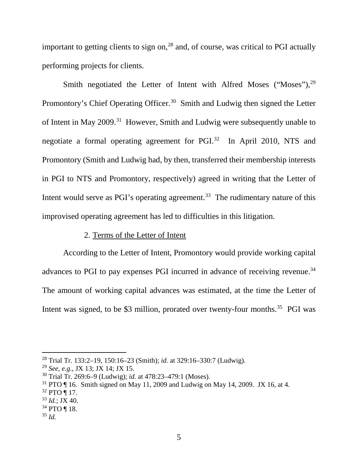important to getting clients to sign on,  $28$  and, of course, was critical to PGI actually performing projects for clients.

Smith negotiated the Letter of Intent with Alfred Moses ("Moses"),<sup>29</sup> Promontory's Chief Operating Officer.<sup>30</sup> Smith and Ludwig then signed the Letter of Intent in May 2009.<sup>31</sup> However, Smith and Ludwig were subsequently unable to negotiate a formal operating agreement for PGI. 32 In April 2010, NTS and Promontory (Smith and Ludwig had, by then, transferred their membership interests in PGI to NTS and Promontory, respectively) agreed in writing that the Letter of Intent would serve as PGI's operating agreement.<sup>33</sup> The rudimentary nature of this improvised operating agreement has led to difficulties in this litigation.

## 2. Terms of the Letter of Intent

According to the Letter of Intent, Promontory would provide working capital advances to PGI to pay expenses PGI incurred in advance of receiving revenue.<sup>34</sup> The amount of working capital advances was estimated, at the time the Letter of Intent was signed, to be \$3 million, prorated over twenty-four months.<sup>35</sup> PGI was

 <sup>28</sup> Trial Tr. 133:2–19, 150:16–23 (Smith); *id.* at 329:16–330:7 (Ludwig).

<sup>29</sup> *See, e.g.*, JX 13; JX 14; JX 15.

<sup>30</sup> Trial Tr. 269:6–9 (Ludwig); *id.* at 478:23–479:1 (Moses).

 $31$  PTO  $\P$  16. Smith signed on May 11, 2009 and Ludwig on May 14, 2009. JX 16, at 4.

 $32$  PTO ¶ 17.

 $33$  *Id.*; JX 40.

 $34$  PTO ¶ 18.

<sup>35</sup> *Id.*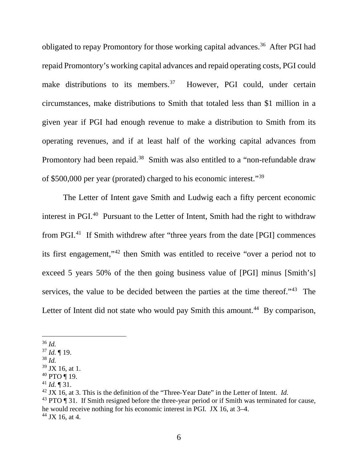obligated to repay Promontory for those working capital advances.<sup>36</sup> After PGI had repaid Promontory's working capital advances and repaid operating costs, PGI could make distributions to its members.<sup>37</sup> However, PGI could, under certain circumstances, make distributions to Smith that totaled less than \$1 million in a given year if PGI had enough revenue to make a distribution to Smith from its operating revenues, and if at least half of the working capital advances from Promontory had been repaid.<sup>38</sup> Smith was also entitled to a "non-refundable draw" of \$500,000 per year (prorated) charged to his economic interest."39

The Letter of Intent gave Smith and Ludwig each a fifty percent economic interest in PGI.40 Pursuant to the Letter of Intent, Smith had the right to withdraw from PGI.41 If Smith withdrew after "three years from the date [PGI] commences its first engagement,"42 then Smith was entitled to receive "over a period not to exceed 5 years 50% of the then going business value of [PGI] minus [Smith's] services, the value to be decided between the parties at the time thereof."<sup>43</sup> The Letter of Intent did not state who would pay Smith this amount.<sup>44</sup> By comparison,

<sup>38</sup> *Id.*

- <sup>40</sup> PTO ¶ 19.
- $41$  *Id.*  $\sqrt{31}$ .

<sup>42</sup> JX 16, at 3. This is the definition of the "Three-Year Date" in the Letter of Intent. *Id.*

 $43$  PTO  $\P$  31. If Smith resigned before the three-year period or if Smith was terminated for cause, he would receive nothing for his economic interest in PGI. JX 16, at 3–4.  $44$  JX 16, at 4.

 <sup>36</sup> *Id.*

<sup>37</sup> *Id.* ¶ 19.

 $39$  JX 16, at 1.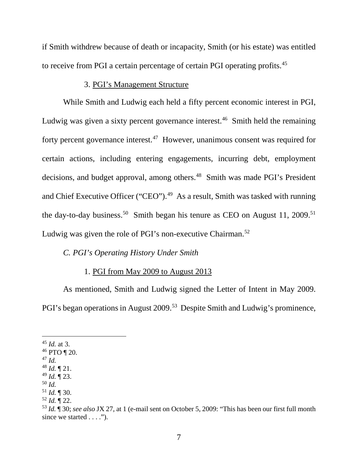if Smith withdrew because of death or incapacity, Smith (or his estate) was entitled to receive from PGI a certain percentage of certain PGI operating profits.45

## 3. PGI's Management Structure

While Smith and Ludwig each held a fifty percent economic interest in PGI, Ludwig was given a sixty percent governance interest.<sup>46</sup> Smith held the remaining forty percent governance interest.<sup>47</sup> However, unanimous consent was required for certain actions, including entering engagements, incurring debt, employment decisions, and budget approval, among others.<sup>48</sup> Smith was made PGI's President and Chief Executive Officer ("CEO").<sup>49</sup> As a result, Smith was tasked with running the day-to-day business.<sup>50</sup> Smith began his tenure as CEO on August 11, 2009.<sup>51</sup> Ludwig was given the role of PGI's non-executive Chairman.<sup>52</sup>

## *C. PGI's Operating History Under Smith*

## 1. PGI from May 2009 to August 2013

As mentioned, Smith and Ludwig signed the Letter of Intent in May 2009. PGI's began operations in August 2009.<sup>53</sup> Despite Smith and Ludwig's prominence,

 <sup>45</sup> *Id.* at 3.

 $46$  PTO ¶ 20.

<sup>47</sup> *Id.*

<sup>48</sup> *Id.* ¶ 21.

<sup>49</sup> *Id.* ¶ 23.

<sup>50</sup> *Id.*

<sup>51</sup> *Id.* ¶ 30.

<sup>52</sup> *Id.* ¶ 22.

<sup>53</sup> *Id.* ¶ 30; *see also* JX 27, at 1 (e-mail sent on October 5, 2009: "This has been our first full month since we started  $\dots$ .").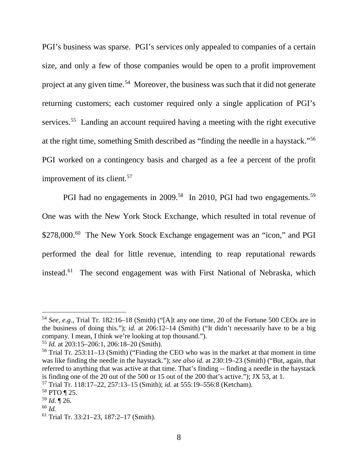PGI's business was sparse. PGI's services only appealed to companies of a certain size, and only a few of those companies would be open to a profit improvement project at any given time.<sup>54</sup> Moreover, the business was such that it did not generate returning customers; each customer required only a single application of PGI's services.<sup>55</sup> Landing an account required having a meeting with the right executive at the right time, something Smith described as "finding the needle in a haystack."56 PGI worked on a contingency basis and charged as a fee a percent of the profit improvement of its client. 57

PGI had no engagements in 2009.<sup>58</sup> In 2010, PGI had two engagements.<sup>59</sup> One was with the New York Stock Exchange, which resulted in total revenue of \$278,000.<sup>60</sup> The New York Stock Exchange engagement was an "icon," and PGI performed the deal for little revenue, intending to reap reputational rewards instead.<sup>61</sup> The second engagement was with First National of Nebraska, which

 <sup>54</sup> *See, e.g.*, Trial Tr. 182:16–18 (Smith) ("[A]t any one time, 20 of the Fortune 500 CEOs are in the business of doing this."); *id.* at 206:12–14 (Smith) ("It didn't necessarily have to be a big company. I mean, I think we're looking at top thousand.").

<sup>55</sup> *Id.* at 203:15–206:1, 206:18–20 (Smith).

 $56$  Trial Tr. 253:11–13 (Smith) ("Finding the CEO who was in the market at that moment in time was like finding the needle in the haystack."); *see also id.* at 230:19–23 (Smith) ("But, again, that referred to anything that was active at that time. That's finding -- finding a needle in the haystack is finding one of the 20 out of the 500 or 15 out of the 200 that's active."); JX 53, at 1.

<sup>57</sup> Trial Tr. 118:17–22, 257:13–15 (Smith); *id.* at 555:19–556:8 (Ketcham).

<sup>58</sup> PTO ¶ 25.

<sup>59</sup> *Id.* ¶ 26.

<sup>60</sup> *Id.*

<sup>61</sup> Trial Tr. 33:21–23, 187:2–17 (Smith).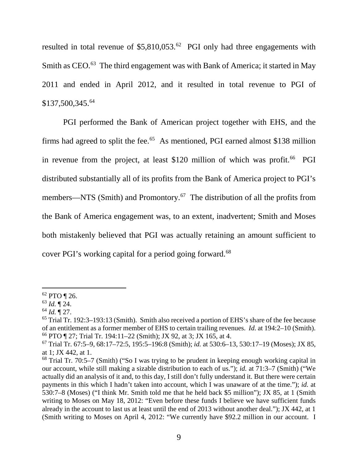resulted in total revenue of  $$5,810,053<sup>62</sup>$  PGI only had three engagements with Smith as CEO.<sup>63</sup> The third engagement was with Bank of America; it started in May 2011 and ended in April 2012, and it resulted in total revenue to PGI of \$137,500,345.64

PGI performed the Bank of American project together with EHS, and the firms had agreed to split the fee.<sup>65</sup> As mentioned, PGI earned almost \$138 million in revenue from the project, at least  $$120$  million of which was profit.<sup>66</sup> PGI distributed substantially all of its profits from the Bank of America project to PGI's members—NTS (Smith) and Promontory.<sup>67</sup> The distribution of all the profits from the Bank of America engagement was, to an extent, inadvertent; Smith and Moses both mistakenly believed that PGI was actually retaining an amount sufficient to cover PGI's working capital for a period going forward.<sup>68</sup>

 <sup>62</sup> PTO ¶ 26.

<sup>63</sup> *Id.* ¶ 24.

 $^{64}$  *Id.*  $\sqrt{\phantom{0}^{12}27}$ .

<sup>65</sup> Trial Tr. 192:3–193:13 (Smith). Smith also received a portion of EHS's share of the fee because of an entitlement as a former member of EHS to certain trailing revenues. *Id.* at 194:2–10 (Smith). <sup>66</sup> PTO ¶ 27; Trial Tr. 194:11–22 (Smith); JX 92, at 3; JX 165, at 4.

<sup>67</sup> Trial Tr. 67:5–9, 68:17–72:5, 195:5–196:8 (Smith); *id.* at 530:6–13, 530:17–19 (Moses); JX 85, at 1; JX 442, at 1.

<sup>68</sup> Trial Tr. 70:5–7 (Smith) ("So I was trying to be prudent in keeping enough working capital in our account, while still making a sizable distribution to each of us."); *id.* at 71:3–7 (Smith) ("We actually did an analysis of it and, to this day, I still don't fully understand it. But there were certain payments in this which I hadn't taken into account, which I was unaware of at the time."); *id.* at 530:7–8 (Moses) ("I think Mr. Smith told me that he held back \$5 million"); JX 85, at 1 (Smith writing to Moses on May 18, 2012: "Even before these funds I believe we have sufficient funds already in the account to last us at least until the end of 2013 without another deal."); JX 442, at 1 (Smith writing to Moses on April 4, 2012: "We currently have \$92.2 million in our account. I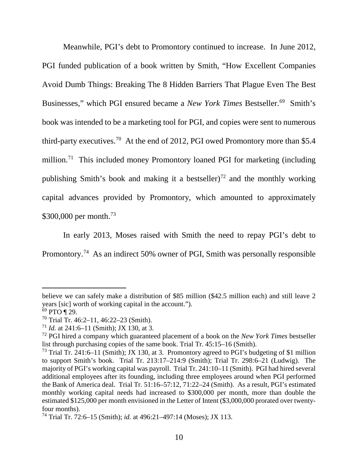Meanwhile, PGI's debt to Promontory continued to increase. In June 2012, PGI funded publication of a book written by Smith, "How Excellent Companies Avoid Dumb Things: Breaking The 8 Hidden Barriers That Plague Even The Best Businesses," which PGI ensured became a *New York Times* Bestseller.<sup>69</sup> Smith's book was intended to be a marketing tool for PGI, and copies were sent to numerous third-party executives.<sup>70</sup> At the end of 2012, PGI owed Promontory more than \$5.4 million.<sup>71</sup> This included money Promontory loaned PGI for marketing (including publishing Smith's book and making it a bestseller)<sup>72</sup> and the monthly working capital advances provided by Promontory, which amounted to approximately \$300,000 per month.<sup>73</sup>

In early 2013, Moses raised with Smith the need to repay PGI's debt to Promontory.74 As an indirect 50% owner of PGI, Smith was personally responsible

 $\overline{a}$ 

believe we can safely make a distribution of \$85 million (\$42.5 million each) and still leave 2 years [sic] worth of working capital in the account.").

 $69$  PTO ¶ 29.

 $70$  Trial Tr. 46:2–11, 46:22–23 (Smith).

<sup>71</sup> *Id.* at 241:6–11 (Smith); JX 130, at 3.

<sup>72</sup> PGI hired a company which guaranteed placement of a book on the *New York Times* bestseller list through purchasing copies of the same book. Trial Tr. 45:15–16 (Smith).

<sup>&</sup>lt;sup>73</sup> Trial Tr. 241:6–11 (Smith); JX 130, at 3. Promontory agreed to PGI's budgeting of \$1 million to support Smith's book. Trial Tr. 213:17–214:9 (Smith); Trial Tr. 298:6–21 (Ludwig). The majority of PGI's working capital was payroll. Trial Tr. 241:10–11 (Smith). PGI had hired several additional employees after its founding, including three employees around when PGI performed the Bank of America deal. Trial Tr. 51:16–57:12, 71:22–24 (Smith). As a result, PGI's estimated monthly working capital needs had increased to \$300,000 per month, more than double the estimated \$125,000 per month envisioned in the Letter of Intent (\$3,000,000 prorated over twentyfour months).

<sup>74</sup> Trial Tr. 72:6–15 (Smith); *id.* at 496:21–497:14 (Moses); JX 113.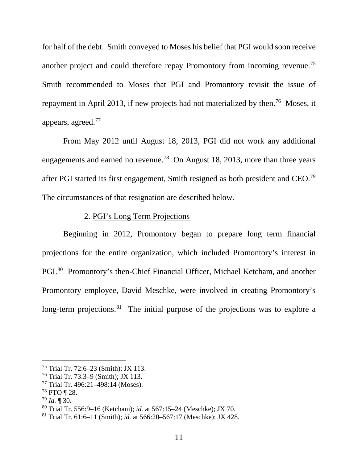for half of the debt. Smith conveyed to Moses his belief that PGI would soon receive another project and could therefore repay Promontory from incoming revenue.<sup>75</sup> Smith recommended to Moses that PGI and Promontory revisit the issue of repayment in April 2013, if new projects had not materialized by then.<sup>76</sup> Moses, it appears, agreed.77

From May 2012 until August 18, 2013, PGI did not work any additional engagements and earned no revenue.<sup>78</sup> On August 18, 2013, more than three years after PGI started its first engagement, Smith resigned as both president and CEO.79 The circumstances of that resignation are described below.

## 2. PGI's Long Term Projections

Beginning in 2012, Promontory began to prepare long term financial projections for the entire organization, which included Promontory's interest in PGI.80 Promontory's then-Chief Financial Officer, Michael Ketcham, and another Promontory employee, David Meschke, were involved in creating Promontory's long-term projections. <sup>81</sup> The initial purpose of the projections was to explore a

 <sup>75</sup> Trial Tr. 72:6–23 (Smith); JX 113.

<sup>76</sup> Trial Tr. 73:3–9 (Smith); JX 113.

<sup>77</sup> Trial Tr. 496:21–498:14 (Moses).

<sup>78</sup> PTO ¶ 28.

<sup>79</sup> *Id.* ¶ 30.

<sup>80</sup> Trial Tr. 556:9–16 (Ketcham); *id.* at 567:15–24 (Meschke); JX 70.

<sup>81</sup> Trial Tr. 61:6–11 (Smith); *id.* at 566:20–567:17 (Meschke); JX 428.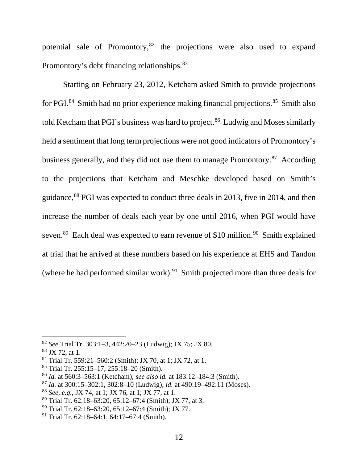potential sale of Promontory,<sup>82</sup> the projections were also used to expand Promontory's debt financing relationships.<sup>83</sup>

Starting on February 23, 2012, Ketcham asked Smith to provide projections for PGI.<sup>84</sup> Smith had no prior experience making financial projections.<sup>85</sup> Smith also told Ketcham that PGI's business was hard to project.<sup>86</sup> Ludwig and Moses similarly held a sentiment that long term projections were not good indicators of Promontory's business generally, and they did not use them to manage Promontory.<sup>87</sup> According to the projections that Ketcham and Meschke developed based on Smith's guidance,<sup>88</sup> PGI was expected to conduct three deals in 2013, five in 2014, and then increase the number of deals each year by one until 2016, when PGI would have seven.<sup>89</sup> Each deal was expected to earn revenue of \$10 million.<sup>90</sup> Smith explained at trial that he arrived at these numbers based on his experience at EHS and Tandon (where he had performed similar work). 91 Smith projected more than three deals for

 <sup>82</sup> *See* Trial Tr. 303:1–3, 442:20–23 (Ludwig); JX 75; JX 80.

 $83$  JX 72, at 1.

<sup>84</sup> Trial Tr. 559:21–560:2 (Smith); JX 70, at 1; JX 72, at 1.

<sup>85</sup> Trial Tr. 255:15–17, 255:18–20 (Smith).

<sup>86</sup> *Id.* at 560:3–563:1 (Ketcham); *see also id.* at 183:12–184:3 (Smith).

<sup>87</sup> *Id.* at 300:15–302:1, 302:8–10 (Ludwig); *id.* at 490:19–492:11 (Moses).

<sup>88</sup> *See, e.g.*, JX 74, at 1; JX 76, at 1; JX 77, at 1.

<sup>89</sup> Trial Tr. 62:18–63:20, 65:12–67:4 (Smith); JX 77, at 3.

 $90$  Trial Tr. 62:18–63:20, 65:12–67:4 (Smith); JX 77.

<sup>91</sup> Trial Tr. 62:18–64:1, 64:17–67:4 (Smith).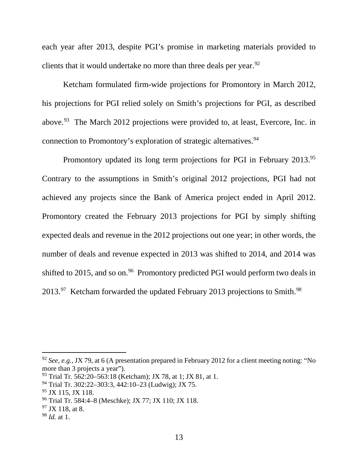each year after 2013, despite PGI's promise in marketing materials provided to clients that it would undertake no more than three deals per year.  $92$ 

Ketcham formulated firm-wide projections for Promontory in March 2012, his projections for PGI relied solely on Smith's projections for PGI, as described above.<sup>93</sup> The March 2012 projections were provided to, at least, Evercore, Inc. in connection to Promontory's exploration of strategic alternatives. 94

Promontory updated its long term projections for PGI in February 2013.<sup>95</sup> Contrary to the assumptions in Smith's original 2012 projections, PGI had not achieved any projects since the Bank of America project ended in April 2012. Promontory created the February 2013 projections for PGI by simply shifting expected deals and revenue in the 2012 projections out one year; in other words, the number of deals and revenue expected in 2013 was shifted to 2014, and 2014 was shifted to 2015, and so on.<sup>96</sup> Promontory predicted PGI would perform two deals in 2013.<sup>97</sup> Ketcham forwarded the updated February 2013 projections to Smith.<sup>98</sup>

 <sup>92</sup> *See, e.g.*, JX 79, at 6 (A presentation prepared in February 2012 for a client meeting noting: "No more than 3 projects a year").

<sup>93</sup> Trial Tr. 562:20–563:18 (Ketcham); JX 78, at 1; JX 81, at 1.

<sup>94</sup> Trial Tr. 302:22–303:3, 442:10–23 (Ludwig); JX 75.

<sup>&</sup>lt;sup>95</sup> JX 115, JX 118.

<sup>96</sup> Trial Tr. 584:4–8 (Meschke); JX 77; JX 110; JX 118.

 $97$  JX 118, at 8.

<sup>98</sup> *Id.* at 1.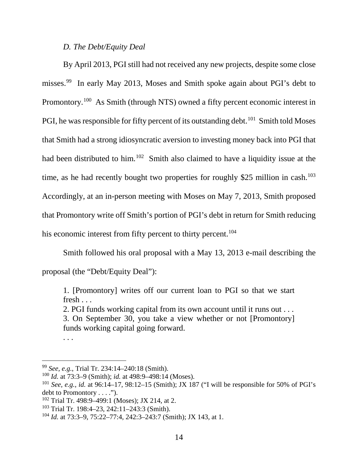## *D. The Debt/Equity Deal*

By April 2013, PGI still had not received any new projects, despite some close misses.99 In early May 2013, Moses and Smith spoke again about PGI's debt to Promontory.100 As Smith (through NTS) owned a fifty percent economic interest in PGI, he was responsible for fifty percent of its outstanding debt.<sup>101</sup> Smith told Moses that Smith had a strong idiosyncratic aversion to investing money back into PGI that had been distributed to him.<sup>102</sup> Smith also claimed to have a liquidity issue at the time, as he had recently bought two properties for roughly \$25 million in cash.<sup>103</sup> Accordingly, at an in-person meeting with Moses on May 7, 2013, Smith proposed that Promontory write off Smith's portion of PGI's debt in return for Smith reducing his economic interest from fifty percent to thirty percent.<sup>104</sup>

Smith followed his oral proposal with a May 13, 2013 e-mail describing the proposal (the "Debt/Equity Deal"):

1. [Promontory] writes off our current loan to PGI so that we start fresh . . .

2. PGI funds working capital from its own account until it runs out . . .

3. On September 30, you take a view whether or not [Promontory] funds working capital going forward.

. . .

 <sup>99</sup> *See, e.g.*, Trial Tr. 234:14–240:18 (Smith).

<sup>100</sup> *Id.* at 73:3–9 (Smith); *id.* at 498:9–498:14 (Moses).

<sup>101</sup> *See, e.g.*, *id.* at 96:14–17, 98:12–15 (Smith); JX 187 ("I will be responsible for 50% of PGI's debt to Promontory . . . .").

 $102$  Trial Tr. 498:9–499:1 (Moses); JX 214, at 2.

<sup>103</sup> Trial Tr. 198:4–23, 242:11–243:3 (Smith).

<sup>104</sup> *Id.* at 73:3–9, 75:22–77:4, 242:3–243:7 (Smith); JX 143, at 1.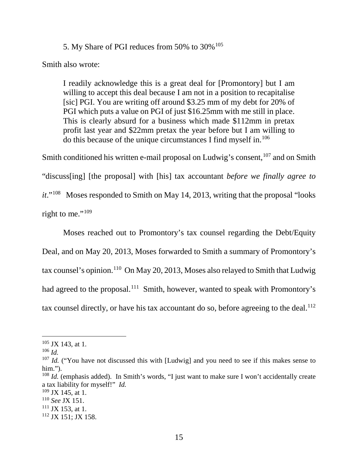5. My Share of PGI reduces from 50% to 30%<sup>105</sup>

Smith also wrote:

I readily acknowledge this is a great deal for [Promontory] but I am willing to accept this deal because I am not in a position to recapitalise [sic] PGI. You are writing off around \$3.25 mm of my debt for 20% of PGI which puts a value on PGI of just \$16.25mm with me still in place. This is clearly absurd for a business which made \$112mm in pretax profit last year and \$22mm pretax the year before but I am willing to do this because of the unique circumstances I find myself in.106

Smith conditioned his written e-mail proposal on Ludwig's consent, <sup>107</sup> and on Smith "discuss[ing] [the proposal] with [his] tax accountant *before we finally agree to it*."108 Moses responded to Smith on May 14, 2013, writing that the proposal "looks right to me."<sup>109</sup>

Moses reached out to Promontory's tax counsel regarding the Debt/Equity Deal, and on May 20, 2013, Moses forwarded to Smith a summary of Promontory's tax counsel's opinion.<sup>110</sup> On May 20, 2013, Moses also relayed to Smith that Ludwig had agreed to the proposal.<sup>111</sup> Smith, however, wanted to speak with Promontory's tax counsel directly, or have his tax accountant do so, before agreeing to the deal. $^{112}$ 

 $111$  JX 153, at 1.

 $105$  JX 143, at 1.

<sup>106</sup> *Id.*

<sup>&</sup>lt;sup>107</sup> *Id.* ("You have not discussed this with [Ludwig] and you need to see if this makes sense to him.").

<sup>&</sup>lt;sup>108</sup> *Id.* (emphasis added). In Smith's words, "I just want to make sure I won't accidentally create a tax liability for myself!" *Id.*

 $109$  JX 145, at 1.

<sup>110</sup> *See* JX 151.

<sup>112</sup> JX 151; JX 158.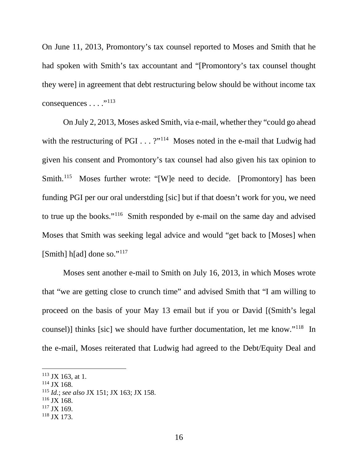On June 11, 2013, Promontory's tax counsel reported to Moses and Smith that he had spoken with Smith's tax accountant and "[Promontory's tax counsel thought they were] in agreement that debt restructuring below should be without income tax consequences . . . ."113

On July 2, 2013, Moses asked Smith, via e-mail, whether they "could go ahead with the restructuring of PGI . . . ?"<sup>114</sup> Moses noted in the e-mail that Ludwig had given his consent and Promontory's tax counsel had also given his tax opinion to Smith.<sup>115</sup> Moses further wrote: "[W]e need to decide. [Promontory] has been funding PGI per our oral understding [sic] but if that doesn't work for you, we need to true up the books."116 Smith responded by e-mail on the same day and advised Moses that Smith was seeking legal advice and would "get back to [Moses] when [Smith] h[ad] done so."<sup>117</sup>

Moses sent another e-mail to Smith on July 16, 2013, in which Moses wrote that "we are getting close to crunch time" and advised Smith that "I am willing to proceed on the basis of your May 13 email but if you or David [(Smith's legal counsel)] thinks [sic] we should have further documentation, let me know."118 In the e-mail, Moses reiterated that Ludwig had agreed to the Debt/Equity Deal and

- <sup>115</sup> *Id.*; *see also* JX 151; JX 163; JX 158.
- <sup>116</sup> JX 168.
- $117$  JX 169.
- <sup>118</sup> JX 173.

 $113$  JX 163, at 1.

<sup>114</sup> JX 168.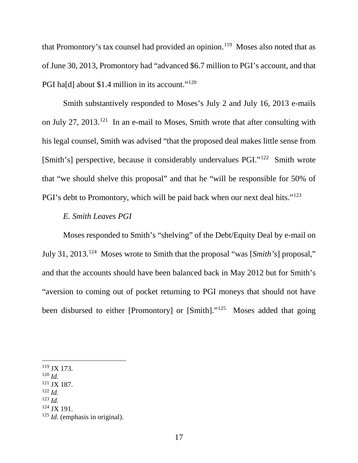that Promontory's tax counsel had provided an opinion.<sup>119</sup> Moses also noted that as of June 30, 2013, Promontory had "advanced \$6.7 million to PGI's account, and that PGI ha[d] about \$1.4 million in its account."<sup>120</sup>

Smith substantively responded to Moses's July 2 and July 16, 2013 e-mails on July 27, 2013.121 In an e-mail to Moses, Smith wrote that after consulting with his legal counsel, Smith was advised "that the proposed deal makes little sense from [Smith's] perspective, because it considerably undervalues PGI."122 Smith wrote that "we should shelve this proposal" and that he "will be responsible for 50% of PGI's debt to Promontory, which will be paid back when our next deal hits."<sup>123</sup>

## *E. Smith Leaves PGI*

Moses responded to Smith's "shelving" of the Debt/Equity Deal by e-mail on July 31, 2013.124 Moses wrote to Smith that the proposal "was [*Smith's*] proposal," and that the accounts should have been balanced back in May 2012 but for Smith's "aversion to coming out of pocket returning to PGI moneys that should not have been disbursed to either [Promontory] or [Smith]."<sup>125</sup> Moses added that going

- <sup>121</sup> JX 187.
- <sup>122</sup> *Id.*
- <sup>123</sup> *Id.*
- $124$  JX 191.

 $119$  JX 173.

<sup>120</sup> *Id.*

<sup>125</sup> *Id.* (emphasis in original).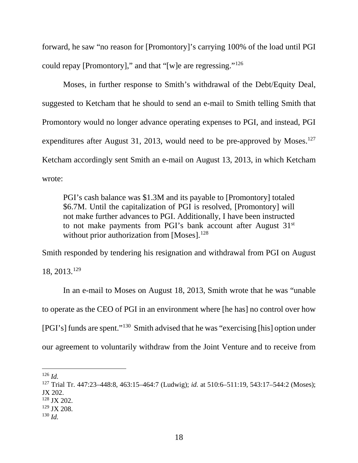forward, he saw "no reason for [Promontory]'s carrying 100% of the load until PGI could repay [Promontory]," and that "[w]e are regressing."126

Moses, in further response to Smith's withdrawal of the Debt/Equity Deal, suggested to Ketcham that he should to send an e-mail to Smith telling Smith that Promontory would no longer advance operating expenses to PGI, and instead, PGI expenditures after August 31, 2013, would need to be pre-approved by Moses.<sup>127</sup> Ketcham accordingly sent Smith an e-mail on August 13, 2013, in which Ketcham wrote:

PGI's cash balance was \$1.3M and its payable to [Promontory] totaled \$6.7M. Until the capitalization of PGI is resolved, [Promontory] will not make further advances to PGI. Additionally, I have been instructed to not make payments from PGI's bank account after August 31<sup>st</sup> without prior authorization from  $[Moses]$ .<sup>128</sup>

Smith responded by tendering his resignation and withdrawal from PGI on August

18, 2013.129

In an e-mail to Moses on August 18, 2013, Smith wrote that he was "unable to operate as the CEO of PGI in an environment where [he has] no control over how [PGI's] funds are spent."130 Smith advised that he was "exercising [his] option under our agreement to voluntarily withdraw from the Joint Venture and to receive from

 <sup>126</sup> *Id.*

<sup>127</sup> Trial Tr. 447:23–448:8, 463:15–464:7 (Ludwig); *id.* at 510:6–511:19, 543:17–544:2 (Moses); JX 202.

<sup>128</sup> JX 202.

 $129$  JX 208.

<sup>130</sup> *Id.*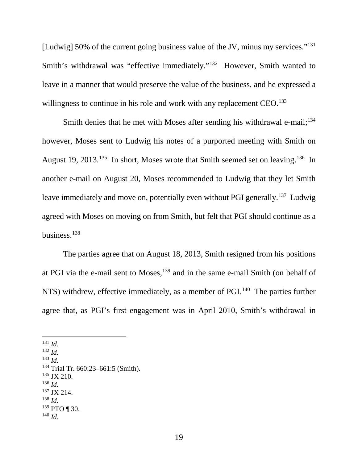[Ludwig] 50% of the current going business value of the JV, minus my services."131 Smith's withdrawal was "effective immediately."<sup>132</sup> However, Smith wanted to leave in a manner that would preserve the value of the business, and he expressed a willingness to continue in his role and work with any replacement CEO.<sup>133</sup>

Smith denies that he met with Moses after sending his withdrawal e-mail;<sup>134</sup> however, Moses sent to Ludwig his notes of a purported meeting with Smith on August 19, 2013.<sup>135</sup> In short, Moses wrote that Smith seemed set on leaving.<sup>136</sup> In another e-mail on August 20, Moses recommended to Ludwig that they let Smith leave immediately and move on, potentially even without PGI generally.<sup>137</sup> Ludwig agreed with Moses on moving on from Smith, but felt that PGI should continue as a business. 138

The parties agree that on August 18, 2013, Smith resigned from his positions at PGI via the e-mail sent to Moses, <sup>139</sup> and in the same e-mail Smith (on behalf of NTS) withdrew, effective immediately, as a member of PGI.<sup>140</sup> The parties further agree that, as PGI's first engagement was in April 2010, Smith's withdrawal in

131 *Id.*

- <sup>132</sup> *Id.*
- <sup>133</sup> *Id.*
- <sup>134</sup> Trial Tr. 660:23–661:5 (Smith).
- $135$  JX 210.
- <sup>136</sup> *Id.*
- <sup>137</sup> JX 214. <sup>138</sup> *Id.*
- 
- $139$  PTO ¶ 30. <sup>140</sup> *Id.*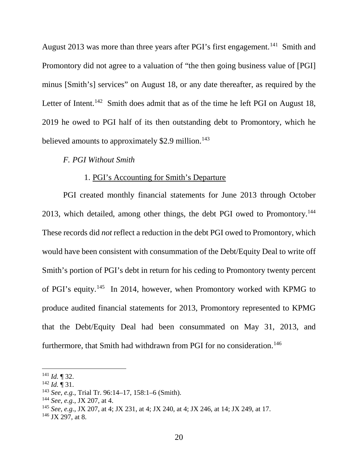August 2013 was more than three years after PGI's first engagement.<sup>141</sup> Smith and Promontory did not agree to a valuation of "the then going business value of [PGI] minus [Smith's] services" on August 18, or any date thereafter, as required by the Letter of Intent.<sup>142</sup> Smith does admit that as of the time he left PGI on August 18, 2019 he owed to PGI half of its then outstanding debt to Promontory, which he believed amounts to approximately  $$2.9$  million.<sup>143</sup>

### *F. PGI Without Smith*

### 1. PGI's Accounting for Smith's Departure

PGI created monthly financial statements for June 2013 through October 2013, which detailed, among other things, the debt PGI owed to Promontory.144 These records did *not* reflect a reduction in the debt PGI owed to Promontory, which would have been consistent with consummation of the Debt/Equity Deal to write off Smith's portion of PGI's debt in return for his ceding to Promontory twenty percent of PGI's equity.<sup>145</sup> In 2014, however, when Promontory worked with KPMG to produce audited financial statements for 2013, Promontory represented to KPMG that the Debt/Equity Deal had been consummated on May 31, 2013, and furthermore, that Smith had withdrawn from PGI for no consideration.<sup>146</sup>

 <sup>141</sup> *Id.* ¶ 32.

<sup>142</sup> *Id.* ¶ 31.

<sup>143</sup> *See, e.g.*, Trial Tr. 96:14–17, 158:1–6 (Smith).

<sup>144</sup> *See, e.g.*, JX 207, at 4.

<sup>145</sup> *See, e.g.*, JX 207, at 4; JX 231, at 4; JX 240, at 4; JX 246, at 14; JX 249, at 17.

 $146$  JX 297, at 8.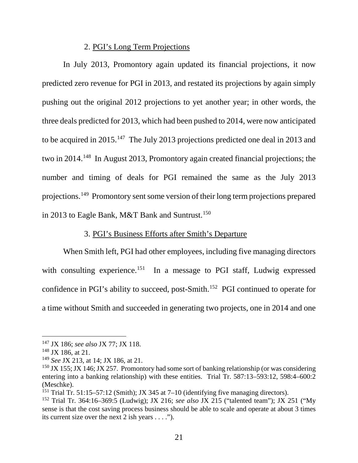### 2. PGI's Long Term Projections

In July 2013, Promontory again updated its financial projections, it now predicted zero revenue for PGI in 2013, and restated its projections by again simply pushing out the original 2012 projections to yet another year; in other words, the three deals predicted for 2013, which had been pushed to 2014, were now anticipated to be acquired in 2015.<sup>147</sup> The July 2013 projections predicted one deal in 2013 and two in 2014.148 In August 2013, Promontory again created financial projections; the number and timing of deals for PGI remained the same as the July 2013 projections.<sup>149</sup> Promontory sent some version of their long term projections prepared in 2013 to Eagle Bank, M&T Bank and Suntrust.<sup>150</sup>

### 3. PGI's Business Efforts after Smith's Departure

When Smith left, PGI had other employees, including five managing directors with consulting experience.<sup>151</sup> In a message to PGI staff, Ludwig expressed confidence in PGI's ability to succeed, post-Smith. 152 PGI continued to operate for a time without Smith and succeeded in generating two projects, one in 2014 and one

 <sup>147</sup> JX 186; *see also* JX 77; JX 118.

<sup>&</sup>lt;sup>148</sup> JX 186, at 21.

<sup>149</sup> *See* JX 213, at 14; JX 186, at 21.

<sup>&</sup>lt;sup>150</sup> JX 155; JX 146; JX 257. Promontory had some sort of banking relationship (or was considering entering into a banking relationship) with these entities. Trial Tr. 587:13–593:12, 598:4–600:2 (Meschke).

<sup>&</sup>lt;sup>151</sup> Trial Tr. 51:15–57:12 (Smith); JX 345 at 7–10 (identifying five managing directors).

<sup>152</sup> Trial Tr. 364:16–369:5 (Ludwig); JX 216; *see also* JX 215 ("talented team"); JX 251 ("My sense is that the cost saving process business should be able to scale and operate at about 3 times its current size over the next 2 ish years . . . .").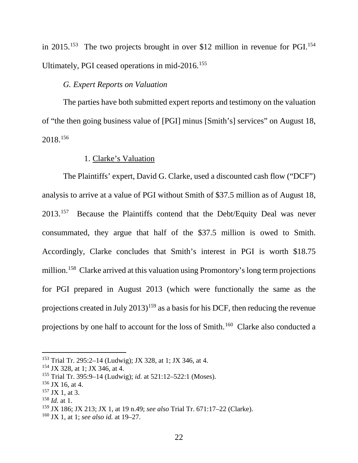in 2015.<sup>153</sup> The two projects brought in over \$12 million in revenue for PGI.<sup>154</sup> Ultimately, PGI ceased operations in mid-2016.<sup>155</sup>

# *G. Expert Reports on Valuation*

The parties have both submitted expert reports and testimony on the valuation of "the then going business value of [PGI] minus [Smith's] services" on August 18, 2018.156

### 1. Clarke's Valuation

The Plaintiffs' expert, David G. Clarke, used a discounted cash flow ("DCF") analysis to arrive at a value of PGI without Smith of \$37.5 million as of August 18, 2013.<sup>157</sup> Because the Plaintiffs contend that the Debt/Equity Deal was never consummated, they argue that half of the \$37.5 million is owed to Smith. Accordingly, Clarke concludes that Smith's interest in PGI is worth \$18.75 million.158 Clarke arrived at this valuation using Promontory's long term projections for PGI prepared in August 2013 (which were functionally the same as the projections created in July  $2013$ <sup>159</sup> as a basis for his DCF, then reducing the revenue projections by one half to account for the loss of Smith.160 Clarke also conducted a

 <sup>153</sup> Trial Tr. 295:2–14 (Ludwig); JX 328, at 1; JX 346, at 4.

<sup>154</sup> JX 328, at 1; JX 346, at 4.

<sup>155</sup> Trial Tr. 395:9–14 (Ludwig); *id.* at 521:12–522:1 (Moses).

 $156$  JX 16, at 4.

 $157$  JX 1, at 3.

<sup>158</sup> *Id.* at 1.

<sup>159</sup> JX 186; JX 213; JX 1, at 19 n.49; *see also* Trial Tr. 671:17–22 (Clarke).

<sup>160</sup> JX 1, at 1; *see also id.* at 19–27.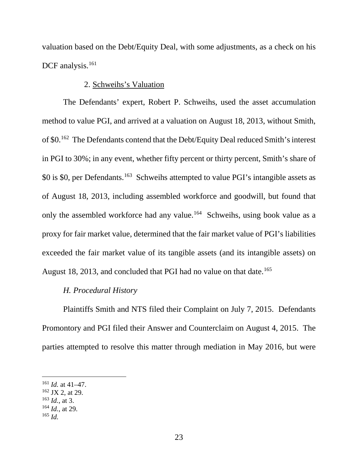valuation based on the Debt/Equity Deal, with some adjustments, as a check on his DCF analysis.<sup>161</sup>

### 2. Schweihs's Valuation

The Defendants' expert, Robert P. Schweihs, used the asset accumulation method to value PGI, and arrived at a valuation on August 18, 2013, without Smith, of \$0.162 The Defendants contend that the Debt/Equity Deal reduced Smith's interest in PGI to 30%; in any event, whether fifty percent or thirty percent, Smith's share of \$0 is \$0, per Defendants. 163 Schweihs attempted to value PGI's intangible assets as of August 18, 2013, including assembled workforce and goodwill, but found that only the assembled workforce had any value.164 Schweihs, using book value as a proxy for fair market value, determined that the fair market value of PGI's liabilities exceeded the fair market value of its tangible assets (and its intangible assets) on August 18, 2013, and concluded that PGI had no value on that date.<sup>165</sup>

## *H. Procedural History*

Plaintiffs Smith and NTS filed their Complaint on July 7, 2015. Defendants Promontory and PGI filed their Answer and Counterclaim on August 4, 2015. The parties attempted to resolve this matter through mediation in May 2016, but were

<sup>164</sup> *Id.*, at 29.

 <sup>161</sup> *Id.* at 41–47.

 $162$  JX 2, at 29.

<sup>163</sup> *Id.*, at 3.

<sup>165</sup> *Id.*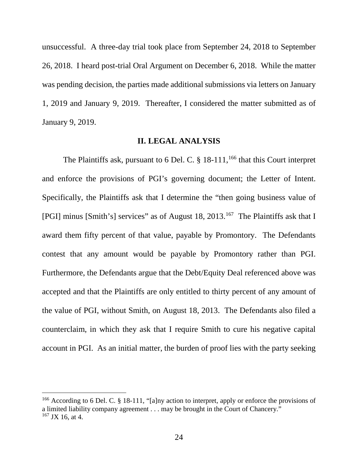unsuccessful. A three-day trial took place from September 24, 2018 to September 26, 2018. I heard post-trial Oral Argument on December 6, 2018. While the matter was pending decision, the parties made additional submissions via letters on January 1, 2019 and January 9, 2019. Thereafter, I considered the matter submitted as of January 9, 2019.

#### **II. LEGAL ANALYSIS**

The Plaintiffs ask, pursuant to 6 Del. C.  $\S$  18-111,<sup>166</sup> that this Court interpret and enforce the provisions of PGI's governing document; the Letter of Intent. Specifically, the Plaintiffs ask that I determine the "then going business value of [PGI] minus [Smith's] services" as of August 18, 2013.167 The Plaintiffs ask that I award them fifty percent of that value, payable by Promontory. The Defendants contest that any amount would be payable by Promontory rather than PGI. Furthermore, the Defendants argue that the Debt/Equity Deal referenced above was accepted and that the Plaintiffs are only entitled to thirty percent of any amount of the value of PGI, without Smith, on August 18, 2013. The Defendants also filed a counterclaim, in which they ask that I require Smith to cure his negative capital account in PGI. As an initial matter, the burden of proof lies with the party seeking

<sup>&</sup>lt;sup>166</sup> According to 6 Del. C. § 18-111, "[a]ny action to interpret, apply or enforce the provisions of a limited liability company agreement . . . may be brought in the Court of Chancery."  $167$  JX 16, at 4.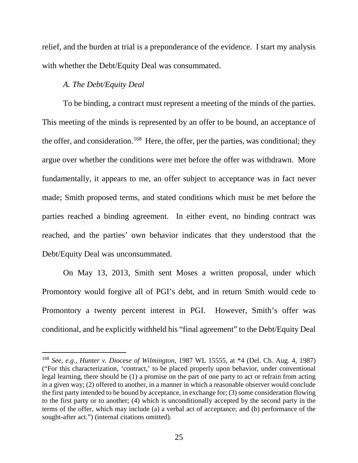relief, and the burden at trial is a preponderance of the evidence. I start my analysis with whether the Debt/Equity Deal was consummated.

### *A. The Debt/Equity Deal*

To be binding, a contract must represent a meeting of the minds of the parties. This meeting of the minds is represented by an offer to be bound, an acceptance of the offer, and consideration.<sup>168</sup> Here, the offer, per the parties, was conditional; they argue over whether the conditions were met before the offer was withdrawn. More fundamentally, it appears to me, an offer subject to acceptance was in fact never made; Smith proposed terms, and stated conditions which must be met before the parties reached a binding agreement. In either event, no binding contract was reached, and the parties' own behavior indicates that they understood that the Debt/Equity Deal was unconsummated.

On May 13, 2013, Smith sent Moses a written proposal, under which Promontory would forgive all of PGI's debt, and in return Smith would cede to Promontory a twenty percent interest in PGI. However, Smith's offer was conditional, and he explicitly withheld his "final agreement" to the Debt/Equity Deal

 <sup>168</sup> *See, e.g.*, *Hunter v. Diocese of Wilmington*, 1987 WL 15555, at \*4 (Del. Ch. Aug. 4, 1987) ("For this characterization, 'contract,' to be placed properly upon behavior, under conventional legal learning, there should be (1) a promise on the part of one party to act or refrain from acting in a given way; (2) offered to another, in a manner in which a reasonable observer would conclude the first party intended to be bound by acceptance, in exchange for; (3) some consideration flowing to the first party or to another; (4) which is unconditionally accepted by the second party in the terms of the offer, which may include (a) a verbal act of acceptance; and (b) performance of the sought-after act.") (internal citations omitted).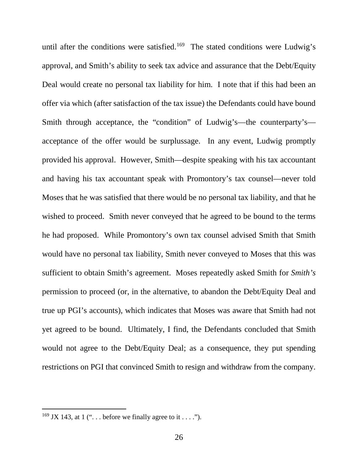until after the conditions were satisfied.<sup>169</sup> The stated conditions were Ludwig's approval, and Smith's ability to seek tax advice and assurance that the Debt/Equity Deal would create no personal tax liability for him. I note that if this had been an offer via which (after satisfaction of the tax issue) the Defendants could have bound Smith through acceptance, the "condition" of Ludwig's—the counterparty's acceptance of the offer would be surplussage. In any event, Ludwig promptly provided his approval. However, Smith—despite speaking with his tax accountant and having his tax accountant speak with Promontory's tax counsel—never told Moses that he was satisfied that there would be no personal tax liability, and that he wished to proceed. Smith never conveyed that he agreed to be bound to the terms he had proposed. While Promontory's own tax counsel advised Smith that Smith would have no personal tax liability, Smith never conveyed to Moses that this was sufficient to obtain Smith's agreement. Moses repeatedly asked Smith for *Smith's* permission to proceed (or, in the alternative, to abandon the Debt/Equity Deal and true up PGI's accounts), which indicates that Moses was aware that Smith had not yet agreed to be bound. Ultimately, I find, the Defendants concluded that Smith would not agree to the Debt/Equity Deal; as a consequence, they put spending restrictions on PGI that convinced Smith to resign and withdraw from the company.

<sup>&</sup>lt;sup>169</sup> JX 143, at 1 (" $\dots$  before we finally agree to it  $\dots$ ").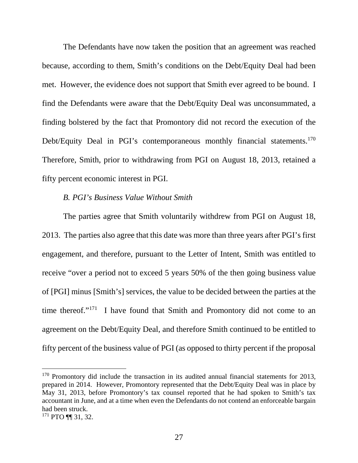The Defendants have now taken the position that an agreement was reached because, according to them, Smith's conditions on the Debt/Equity Deal had been met. However, the evidence does not support that Smith ever agreed to be bound. I find the Defendants were aware that the Debt/Equity Deal was unconsummated, a finding bolstered by the fact that Promontory did not record the execution of the Debt/Equity Deal in PGI's contemporaneous monthly financial statements.<sup>170</sup> Therefore, Smith, prior to withdrawing from PGI on August 18, 2013, retained a fifty percent economic interest in PGI.

### *B. PGI's Business Value Without Smith*

The parties agree that Smith voluntarily withdrew from PGI on August 18, 2013. The parties also agree that this date was more than three years after PGI's first engagement, and therefore, pursuant to the Letter of Intent, Smith was entitled to receive "over a period not to exceed 5 years 50% of the then going business value of [PGI] minus [Smith's] services, the value to be decided between the parties at the time thereof."<sup>171</sup> I have found that Smith and Promontory did not come to an agreement on the Debt/Equity Deal, and therefore Smith continued to be entitled to fifty percent of the business value of PGI (as opposed to thirty percent if the proposal

<sup>&</sup>lt;sup>170</sup> Promontory did include the transaction in its audited annual financial statements for 2013, prepared in 2014. However, Promontory represented that the Debt/Equity Deal was in place by May 31, 2013, before Promontory's tax counsel reported that he had spoken to Smith's tax accountant in June, and at a time when even the Defendants do not contend an enforceable bargain had been struck.

<sup>171</sup> PTO ¶¶ 31, 32.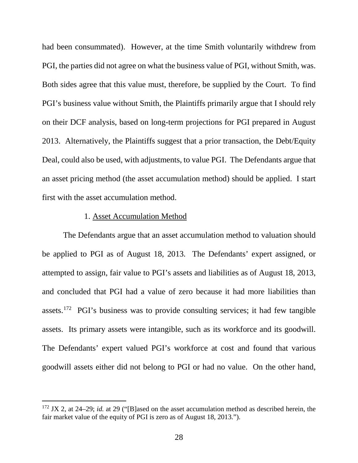had been consummated). However, at the time Smith voluntarily withdrew from PGI, the parties did not agree on what the business value of PGI, without Smith, was. Both sides agree that this value must, therefore, be supplied by the Court. To find PGI's business value without Smith, the Plaintiffs primarily argue that I should rely on their DCF analysis, based on long-term projections for PGI prepared in August 2013. Alternatively, the Plaintiffs suggest that a prior transaction, the Debt/Equity Deal, could also be used, with adjustments, to value PGI. The Defendants argue that an asset pricing method (the asset accumulation method) should be applied. I start first with the asset accumulation method.

#### 1. Asset Accumulation Method

The Defendants argue that an asset accumulation method to valuation should be applied to PGI as of August 18, 2013. The Defendants' expert assigned, or attempted to assign, fair value to PGI's assets and liabilities as of August 18, 2013, and concluded that PGI had a value of zero because it had more liabilities than assets.172 PGI's business was to provide consulting services; it had few tangible assets. Its primary assets were intangible, such as its workforce and its goodwill. The Defendants' expert valued PGI's workforce at cost and found that various goodwill assets either did not belong to PGI or had no value. On the other hand,

 <sup>172</sup> JX 2, at 24–29; *id.* at 29 ("[B]ased on the asset accumulation method as described herein, the fair market value of the equity of PGI is zero as of August 18, 2013.").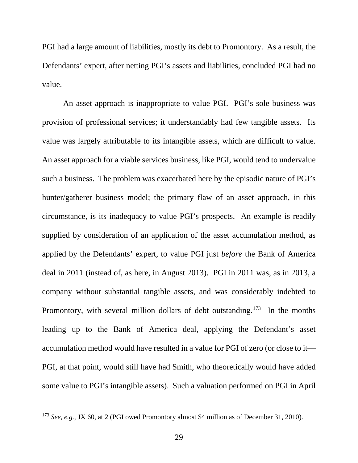PGI had a large amount of liabilities, mostly its debt to Promontory. As a result, the Defendants' expert, after netting PGI's assets and liabilities, concluded PGI had no value.

An asset approach is inappropriate to value PGI. PGI's sole business was provision of professional services; it understandably had few tangible assets. Its value was largely attributable to its intangible assets, which are difficult to value. An asset approach for a viable services business, like PGI, would tend to undervalue such a business. The problem was exacerbated here by the episodic nature of PGI's hunter/gatherer business model; the primary flaw of an asset approach, in this circumstance, is its inadequacy to value PGI's prospects. An example is readily supplied by consideration of an application of the asset accumulation method, as applied by the Defendants' expert, to value PGI just *before* the Bank of America deal in 2011 (instead of, as here, in August 2013). PGI in 2011 was, as in 2013, a company without substantial tangible assets, and was considerably indebted to Promontory, with several million dollars of debt outstanding.<sup>173</sup> In the months leading up to the Bank of America deal, applying the Defendant's asset accumulation method would have resulted in a value for PGI of zero (or close to it— PGI, at that point, would still have had Smith, who theoretically would have added some value to PGI's intangible assets). Such a valuation performed on PGI in April

<sup>&</sup>lt;sup>173</sup> *See, e.g.*, JX 60, at 2 (PGI owed Promontory almost \$4 million as of December 31, 2010).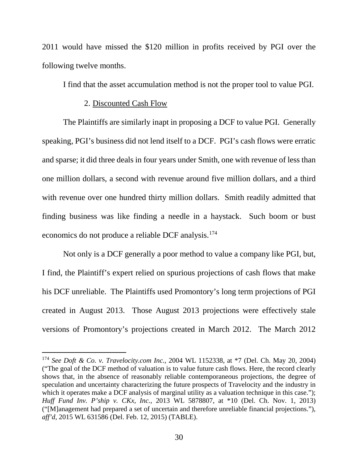2011 would have missed the \$120 million in profits received by PGI over the following twelve months.

I find that the asset accumulation method is not the proper tool to value PGI.

### 2. Discounted Cash Flow

The Plaintiffs are similarly inapt in proposing a DCF to value PGI. Generally speaking, PGI's business did not lend itself to a DCF. PGI's cash flows were erratic and sparse; it did three deals in four years under Smith, one with revenue of less than one million dollars, a second with revenue around five million dollars, and a third with revenue over one hundred thirty million dollars. Smith readily admitted that finding business was like finding a needle in a haystack. Such boom or bust economics do not produce a reliable DCF analysis.<sup>174</sup>

Not only is a DCF generally a poor method to value a company like PGI, but, I find, the Plaintiff's expert relied on spurious projections of cash flows that make his DCF unreliable. The Plaintiffs used Promontory's long term projections of PGI created in August 2013. Those August 2013 projections were effectively stale versions of Promontory's projections created in March 2012. The March 2012

 <sup>174</sup> *See Doft & Co. v. Travelocity.com Inc.*, 2004 WL 1152338, at \*7 (Del. Ch. May 20, 2004) ("The goal of the DCF method of valuation is to value future cash flows. Here, the record clearly shows that, in the absence of reasonably reliable contemporaneous projections, the degree of speculation and uncertainty characterizing the future prospects of Travelocity and the industry in which it operates make a DCF analysis of marginal utility as a valuation technique in this case."); *Huff Fund Inv. P'ship v. CKx, Inc.*, 2013 WL 5878807, at \*10 (Del. Ch. Nov. 1, 2013) ("[M]anagement had prepared a set of uncertain and therefore unreliable financial projections."), *aff'd*, 2015 WL 631586 (Del. Feb. 12, 2015) (TABLE).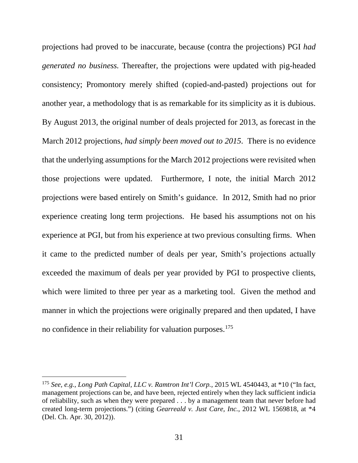projections had proved to be inaccurate, because (contra the projections) PGI *had generated no business.* Thereafter, the projections were updated with pig-headed consistency; Promontory merely shifted (copied-and-pasted) projections out for another year, a methodology that is as remarkable for its simplicity as it is dubious. By August 2013, the original number of deals projected for 2013, as forecast in the March 2012 projections, *had simply been moved out to 2015*. There is no evidence that the underlying assumptions for the March 2012 projections were revisited when those projections were updated. Furthermore, I note, the initial March 2012 projections were based entirely on Smith's guidance. In 2012, Smith had no prior experience creating long term projections. He based his assumptions not on his experience at PGI, but from his experience at two previous consulting firms. When it came to the predicted number of deals per year, Smith's projections actually exceeded the maximum of deals per year provided by PGI to prospective clients, which were limited to three per year as a marketing tool. Given the method and manner in which the projections were originally prepared and then updated, I have no confidence in their reliability for valuation purposes.<sup>175</sup>

 <sup>175</sup> *See, e.g.*, *Long Path Capital, LLC v. Ramtron Int'l Corp.*, 2015 WL 4540443, at \*10 ("In fact, management projections can be, and have been, rejected entirely when they lack sufficient indicia of reliability, such as when they were prepared . . . by a management team that never before had created long-term projections.") (citing *Gearreald v. Just Care, Inc.*, 2012 WL 1569818, at \*4 (Del. Ch. Apr. 30, 2012)).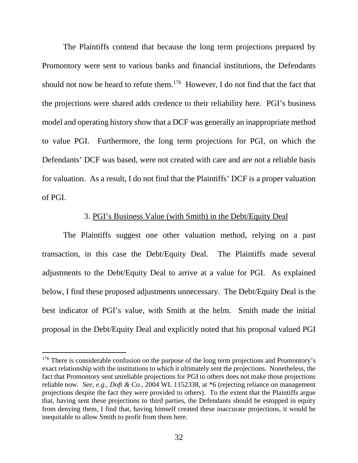The Plaintiffs contend that because the long term projections prepared by Promontory were sent to various banks and financial institutions, the Defendants should not now be heard to refute them.<sup>176</sup> However, I do not find that the fact that the projections were shared adds credence to their reliability here. PGI's business model and operating history show that a DCF was generally an inappropriate method to value PGI. Furthermore, the long term projections for PGI, on which the Defendants' DCF was based, were not created with care and are not a reliable basis for valuation. As a result, I do not find that the Plaintiffs' DCF is a proper valuation of PGI.

### 3. PGI's Business Value (with Smith) in the Debt/Equity Deal

The Plaintiffs suggest one other valuation method, relying on a past transaction, in this case the Debt/Equity Deal. The Plaintiffs made several adjustments to the Debt/Equity Deal to arrive at a value for PGI. As explained below, I find these proposed adjustments unnecessary. The Debt/Equity Deal is the best indicator of PGI's value, with Smith at the helm. Smith made the initial proposal in the Debt/Equity Deal and explicitly noted that his proposal valued PGI

<sup>&</sup>lt;sup>176</sup> There is considerable confusion on the purpose of the long term projections and Promontory's exact relationship with the institutions to which it ultimately sent the projections. Nonetheless, the fact that Promontory sent unreliable projections for PGI to others does not make those projections reliable now. *See, e.g.*, *Doft & Co.*, 2004 WL 1152338, at \*6 (rejecting reliance on management projections despite the fact they were provided to others). To the extent that the Plaintiffs argue that, having sent these projections to third parties, the Defendants should be estopped in equity from denying them, I find that, having himself created these inaccurate projections, it would be inequitable to allow Smith to profit from them here.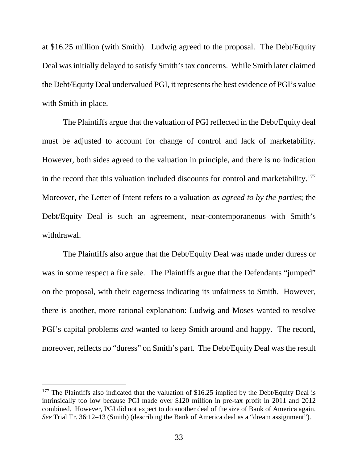at \$16.25 million (with Smith). Ludwig agreed to the proposal. The Debt/Equity Deal was initially delayed to satisfy Smith's tax concerns. While Smith later claimed the Debt/Equity Deal undervalued PGI, it represents the best evidence of PGI's value with Smith in place.

The Plaintiffs argue that the valuation of PGI reflected in the Debt/Equity deal must be adjusted to account for change of control and lack of marketability. However, both sides agreed to the valuation in principle, and there is no indication in the record that this valuation included discounts for control and marketability.<sup>177</sup> Moreover, the Letter of Intent refers to a valuation *as agreed to by the parties*; the Debt/Equity Deal is such an agreement, near-contemporaneous with Smith's withdrawal.

The Plaintiffs also argue that the Debt/Equity Deal was made under duress or was in some respect a fire sale. The Plaintiffs argue that the Defendants "jumped" on the proposal, with their eagerness indicating its unfairness to Smith. However, there is another, more rational explanation: Ludwig and Moses wanted to resolve PGI's capital problems *and* wanted to keep Smith around and happy. The record, moreover, reflects no "duress" on Smith's part. The Debt/Equity Deal was the result

<sup>&</sup>lt;sup>177</sup> The Plaintiffs also indicated that the valuation of \$16.25 implied by the Debt/Equity Deal is intrinsically too low because PGI made over \$120 million in pre-tax profit in 2011 and 2012 combined. However, PGI did not expect to do another deal of the size of Bank of America again. *See* Trial Tr. 36:12–13 (Smith) (describing the Bank of America deal as a "dream assignment").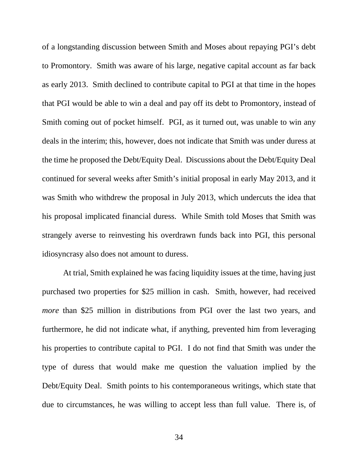of a longstanding discussion between Smith and Moses about repaying PGI's debt to Promontory. Smith was aware of his large, negative capital account as far back as early 2013. Smith declined to contribute capital to PGI at that time in the hopes that PGI would be able to win a deal and pay off its debt to Promontory, instead of Smith coming out of pocket himself. PGI, as it turned out, was unable to win any deals in the interim; this, however, does not indicate that Smith was under duress at the time he proposed the Debt/Equity Deal. Discussions about the Debt/Equity Deal continued for several weeks after Smith's initial proposal in early May 2013, and it was Smith who withdrew the proposal in July 2013, which undercuts the idea that his proposal implicated financial duress. While Smith told Moses that Smith was strangely averse to reinvesting his overdrawn funds back into PGI, this personal idiosyncrasy also does not amount to duress.

At trial, Smith explained he was facing liquidity issues at the time, having just purchased two properties for \$25 million in cash. Smith, however, had received *more* than \$25 million in distributions from PGI over the last two years, and furthermore, he did not indicate what, if anything, prevented him from leveraging his properties to contribute capital to PGI. I do not find that Smith was under the type of duress that would make me question the valuation implied by the Debt/Equity Deal. Smith points to his contemporaneous writings, which state that due to circumstances, he was willing to accept less than full value. There is, of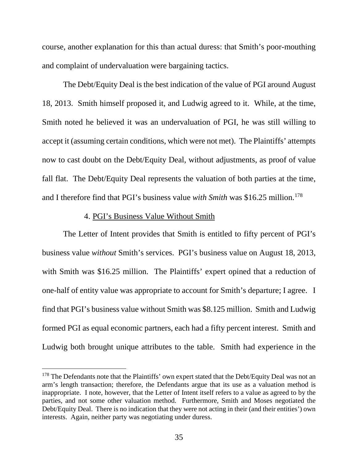course, another explanation for this than actual duress: that Smith's poor-mouthing and complaint of undervaluation were bargaining tactics.

The Debt/Equity Deal is the best indication of the value of PGI around August 18, 2013. Smith himself proposed it, and Ludwig agreed to it. While, at the time, Smith noted he believed it was an undervaluation of PGI, he was still willing to accept it (assuming certain conditions, which were not met). The Plaintiffs' attempts now to cast doubt on the Debt/Equity Deal, without adjustments, as proof of value fall flat. The Debt/Equity Deal represents the valuation of both parties at the time, and I therefore find that PGI's business value *with Smith* was \$16.25 million.<sup>178</sup>

### 4. PGI's Business Value Without Smith

The Letter of Intent provides that Smith is entitled to fifty percent of PGI's business value *without* Smith's services. PGI's business value on August 18, 2013, with Smith was \$16.25 million. The Plaintiffs' expert opined that a reduction of one-half of entity value was appropriate to account for Smith's departure; I agree. I find that PGI's business value without Smith was \$8.125 million. Smith and Ludwig formed PGI as equal economic partners, each had a fifty percent interest. Smith and Ludwig both brought unique attributes to the table. Smith had experience in the

<sup>&</sup>lt;sup>178</sup> The Defendants note that the Plaintiffs' own expert stated that the Debt/Equity Deal was not an arm's length transaction; therefore, the Defendants argue that its use as a valuation method is inappropriate. I note, however, that the Letter of Intent itself refers to a value as agreed to by the parties, and not some other valuation method. Furthermore, Smith and Moses negotiated the Debt/Equity Deal. There is no indication that they were not acting in their (and their entities') own interests. Again, neither party was negotiating under duress.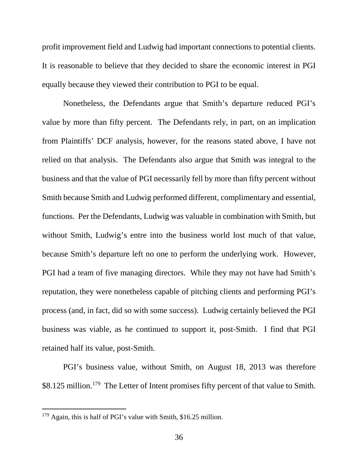profit improvement field and Ludwig had important connections to potential clients. It is reasonable to believe that they decided to share the economic interest in PGI equally because they viewed their contribution to PGI to be equal.

Nonetheless, the Defendants argue that Smith's departure reduced PGI's value by more than fifty percent. The Defendants rely, in part, on an implication from Plaintiffs' DCF analysis, however, for the reasons stated above, I have not relied on that analysis. The Defendants also argue that Smith was integral to the business and that the value of PGI necessarily fell by more than fifty percent without Smith because Smith and Ludwig performed different, complimentary and essential, functions. Per the Defendants, Ludwig was valuable in combination with Smith, but without Smith, Ludwig's entre into the business world lost much of that value, because Smith's departure left no one to perform the underlying work. However, PGI had a team of five managing directors. While they may not have had Smith's reputation, they were nonetheless capable of pitching clients and performing PGI's process (and, in fact, did so with some success). Ludwig certainly believed the PGI business was viable, as he continued to support it, post-Smith. I find that PGI retained half its value, post-Smith.

PGI's business value, without Smith, on August 18, 2013 was therefore \$8.125 million.<sup>179</sup> The Letter of Intent promises fifty percent of that value to Smith.

 <sup>179</sup> Again, this is half of PGI's value with Smith, \$16.25 million.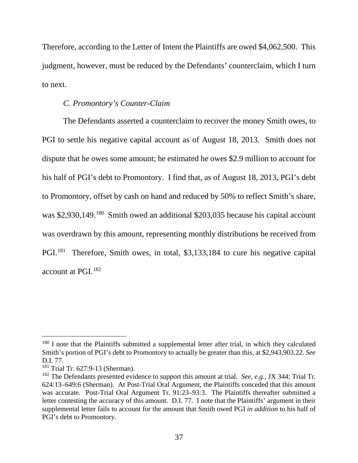Therefore, according to the Letter of Intent the Plaintiffs are owed \$4,062,500. This judgment, however, must be reduced by the Defendants' counterclaim, which I turn to next.

### *C. Promontory's Counter-Claim*

The Defendants asserted a counterclaim to recover the money Smith owes, to PGI to settle his negative capital account as of August 18, 2013. Smith does not dispute that he owes some amount; he estimated he owes \$2.9 million to account for his half of PGI's debt to Promontory. I find that, as of August 18, 2013, PGI's debt to Promontory, offset by cash on hand and reduced by 50% to reflect Smith's share, was \$2,930,149.<sup>180</sup> Smith owed an additional \$203,035 because his capital account was overdrawn by this amount, representing monthly distributions he received from PGI.<sup>181</sup> Therefore, Smith owes, in total, \$3,133,184 to cure his negative capital account at PGI.182

<sup>&</sup>lt;sup>180</sup> I note that the Plaintiffs submitted a supplemental letter after trial, in which they calculated Smith's portion of PGI's debt to Promontory to actually be greater than this, at \$2,943,903.22. *See*  D.I. 77.

<sup>&</sup>lt;sup>181</sup> Trial Tr. 627:9-13 (Sherman).

<sup>182</sup> The Defendants presented evidence to support this amount at trial. *See, e.g.*, JX 344; Trial Tr. 624:13–649:6 (Sherman). At Post-Trial Oral Argument, the Plaintiffs conceded that this amount was accurate. Post-Trial Oral Argument Tr. 91:23–93:3. The Plaintiffs thereafter submitted a letter contesting the accuracy of this amount. D.I. 77. I note that the Plaintiffs' argument in their supplemental letter fails to account for the amount that Smith owed PGI *in addition* to his half of PGI's debt to Promontory.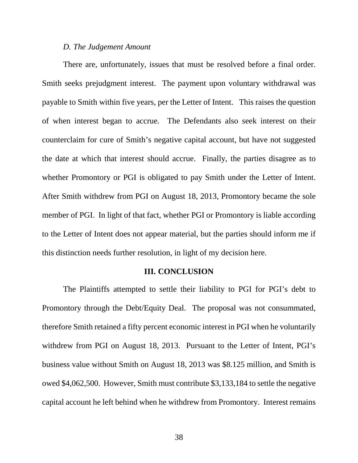#### *D. The Judgement Amount*

There are, unfortunately, issues that must be resolved before a final order. Smith seeks prejudgment interest. The payment upon voluntary withdrawal was payable to Smith within five years, per the Letter of Intent. This raises the question of when interest began to accrue. The Defendants also seek interest on their counterclaim for cure of Smith's negative capital account, but have not suggested the date at which that interest should accrue. Finally, the parties disagree as to whether Promontory or PGI is obligated to pay Smith under the Letter of Intent. After Smith withdrew from PGI on August 18, 2013, Promontory became the sole member of PGI. In light of that fact, whether PGI or Promontory is liable according to the Letter of Intent does not appear material, but the parties should inform me if this distinction needs further resolution, in light of my decision here.

### **III. CONCLUSION**

The Plaintiffs attempted to settle their liability to PGI for PGI's debt to Promontory through the Debt/Equity Deal. The proposal was not consummated, therefore Smith retained a fifty percent economic interest in PGI when he voluntarily withdrew from PGI on August 18, 2013. Pursuant to the Letter of Intent, PGI's business value without Smith on August 18, 2013 was \$8.125 million, and Smith is owed \$4,062,500. However, Smith must contribute \$3,133,184 to settle the negative capital account he left behind when he withdrew from Promontory. Interest remains